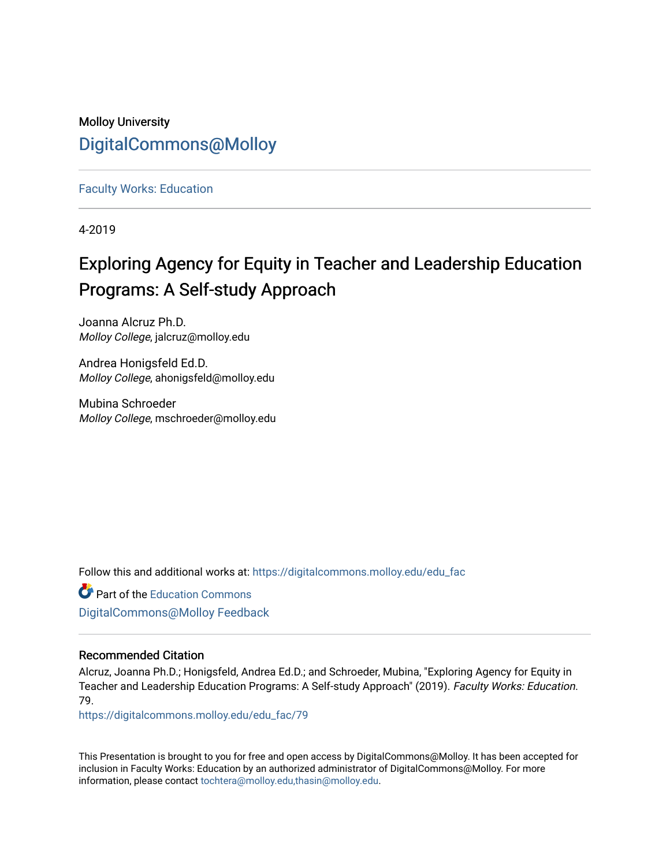## Molloy University [DigitalCommons@Molloy](https://digitalcommons.molloy.edu/)

[Faculty Works: Education](https://digitalcommons.molloy.edu/edu_fac) 

4-2019

# Exploring Agency for Equity in Teacher and Leadership Education Programs: A Self-study Approach

Joanna Alcruz Ph.D. Molloy College, jalcruz@molloy.edu

Andrea Honigsfeld Ed.D. Molloy College, ahonigsfeld@molloy.edu

Mubina Schroeder Molloy College, mschroeder@molloy.edu

Follow this and additional works at: [https://digitalcommons.molloy.edu/edu\\_fac](https://digitalcommons.molloy.edu/edu_fac?utm_source=digitalcommons.molloy.edu%2Fedu_fac%2F79&utm_medium=PDF&utm_campaign=PDFCoverPages)

Part of the [Education Commons](https://network.bepress.com/hgg/discipline/784?utm_source=digitalcommons.molloy.edu%2Fedu_fac%2F79&utm_medium=PDF&utm_campaign=PDFCoverPages) [DigitalCommons@Molloy Feedback](https://molloy.libwizard.com/f/dcfeedback)

## Recommended Citation

Alcruz, Joanna Ph.D.; Honigsfeld, Andrea Ed.D.; and Schroeder, Mubina, "Exploring Agency for Equity in Teacher and Leadership Education Programs: A Self-study Approach" (2019). Faculty Works: Education. 79.

[https://digitalcommons.molloy.edu/edu\\_fac/79](https://digitalcommons.molloy.edu/edu_fac/79?utm_source=digitalcommons.molloy.edu%2Fedu_fac%2F79&utm_medium=PDF&utm_campaign=PDFCoverPages) 

This Presentation is brought to you for free and open access by DigitalCommons@Molloy. It has been accepted for inclusion in Faculty Works: Education by an authorized administrator of DigitalCommons@Molloy. For more information, please contact [tochtera@molloy.edu,thasin@molloy.edu.](mailto:tochtera@molloy.edu,thasin@molloy.edu)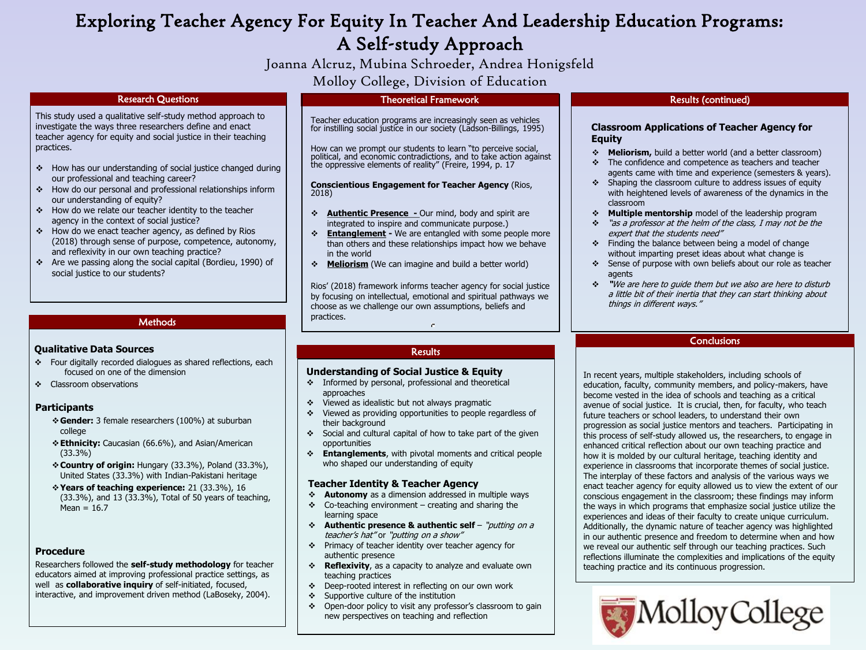# Exploring Teacher Agency For Equity In Teacher And Leadership Education Programs: A Self-study Approach

Joanna Alcruz, Mubina Schroeder, Andrea Honigsfeld Molloy College, Division of Education

#### Research Questions

This study used a qualitative self-study method approach to investigate the ways three researchers define and enact teacher agency for equity and social justice in their teaching practices.

- How has our understanding of social justice changed during our professional and teaching career?
- How do our personal and professional relationships inform our understanding of equity?
- How do we relate our teacher identity to the teacher agency in the context of social justice?
- \* How do we enact teacher agency, as defined by Rios (2018) through sense of purpose, competence, autonomy, and reflexivity in our own teaching practice?
- Are we passing along the social capital (Bordieu, 1990) of social justice to our students?

#### **Methods**

#### **Qualitative Data Sources**

- Four digitally recorded dialogues as shared reflections, each focused on one of the dimension
- **Classroom observations**

#### **Participants**

- **Gender:** 3 female researchers (100%) at suburban college
- **Ethnicity:** Caucasian (66.6%), and Asian/American (33.3%)
- **Country of origin:** Hungary (33.3%), Poland (33.3%), United States (33.3%) with Indian-Pakistani heritage
- **Years of teaching experience:** 21 (33.3%), 16 (33.3%), and 13 (33.3%), Total of 50 years of teaching,  $Mean = 16.7$

#### **Procedure**

Researchers followed the **self-study methodology** for teacher educators aimed at improving professional practice settings, as well as **collaborative inquiry** of self-initiated, focused, interactive, and improvement driven method (LaBoseky, 2004).

#### Theoretical Framework

Teacher education programs are increasingly seen as vehicles for instilling social justice in our society (Ladson-Billings, 1995)

How can we prompt our students to learn "to perceive social, political, and economic contradictions, and to take action against the oppressive elements of reality" (Freire, 1994, p. 17

**Conscientious Engagement for Teacher Agency** (Rios, 2018)

- **Authentic Presence -** Our mind, body and spirit are integrated to inspire and communicate purpose.)
- **Entanglement -** We are entangled with some people more than others and these relationships impact how we behave in the world
- **Meliorism** (We can imagine and build a better world)

Rios' (2018) framework informs teacher agency for social justice by focusing on intellectual, emotional and spiritual pathways we choose as we challenge our own assumptions, beliefs and practices. c.

#### **Results**

#### **Understanding of Social Justice & Equity**

- $\div$  Informed by personal, professional and theoretical approaches
- $\div$  Viewed as idealistic but not always pragmatic
- Viewed as providing opportunities to people regardless of their background
- $\div$  Social and cultural capital of how to take part of the given opportunities
- **Entanglements**, with pivotal moments and critical people who shaped our understanding of equity

#### **Teacher Identity & Teacher Agency**

- **Autonomy** as a dimension addressed in multiple ways
- $\div$  Co-teaching environment creating and sharing the learning space
- **Authentic presence & authentic self**  "putting on a teacher's hat" or "putting on a show"
- \* Primacy of teacher identity over teacher agency for authentic presence
- **Reflexivity**, as a capacity to analyze and evaluate own teaching practices
- Deep-rooted interest in reflecting on our own work
- Supportive culture of the institution
- Open-door policy to visit any professor's classroom to gain new perspectives on teaching and reflection

#### Results (continued)

#### **Classroom Applications of Teacher Agency for Equity**

- **Meliorism,** build a better world (and a better classroom)
- The confidence and competence as teachers and teacher agents came with time and experience (semesters & years).
- $\div$  Shaping the classroom culture to address issues of equity with heightened levels of awareness of the dynamics in the classroom
- **Multiple mentorship** model of the leadership program
- "as a professor at the helm of the class, I may not be the expert that the students need"
- $\div$  Finding the balance between being a model of change without imparting preset ideas about what change is
- Sense of purpose with own beliefs about our role as teacher agents
- **"**We are here to guide them but we also are here to disturb a little bit of their inertia that they can start thinking about things in different ways."

#### **Conclusions**

In recent years, multiple stakeholders, including schools of education, faculty, community members, and policy-makers, have become vested in the idea of schools and teaching as a critical avenue of social justice. It is crucial, then, for faculty, who teach future teachers or school leaders, to understand their own progression as social justice mentors and teachers. Participating in this process of self-study allowed us, the researchers, to engage in enhanced critical reflection about our own teaching practice and how it is molded by our cultural heritage, teaching identity and experience in classrooms that incorporate themes of social justice. The interplay of these factors and analysis of the various ways we enact teacher agency for equity allowed us to view the extent of our conscious engagement in the classroom; these findings may inform the ways in which programs that emphasize social justice utilize the experiences and ideas of their faculty to create unique curriculum. Additionally, the dynamic nature of teacher agency was highlighted in our authentic presence and freedom to determine when and how we reveal our authentic self through our teaching practices. Such reflections illuminate the complexities and implications of the equity teaching practice and its continuous progression.